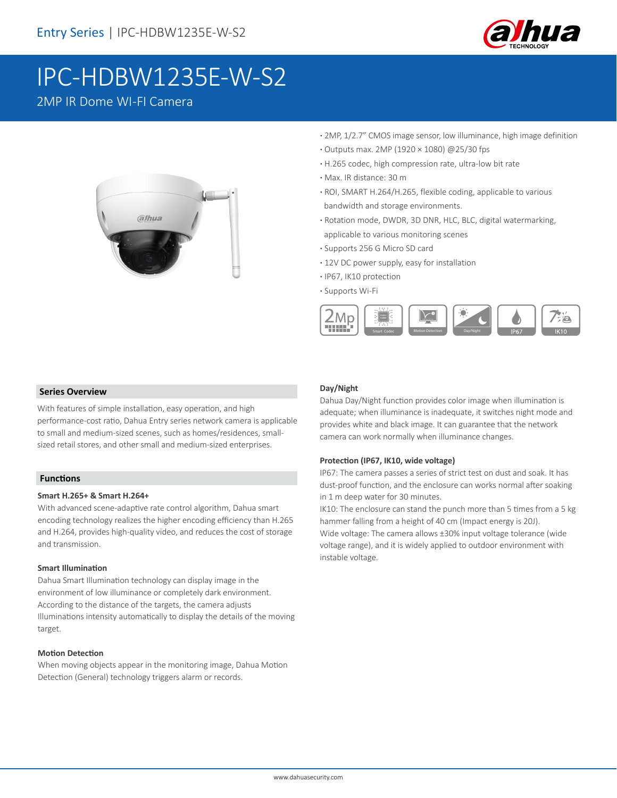

# IPC-HDBW1235E-W-S2

### 2MP IR Dome WI-FI Camera



- **·** 2MP, 1/2.7" CMOS image sensor, low illuminance, high image definition
- **·** Outputs max. 2MP (1920 × 1080) @25/30 fps
- **·** H.265 codec, high compression rate, ultra-low bit rate
- **·** Max. IR distance: 30 m
- **·** ROI, SMART H.264/H.265, flexible coding, applicable to various bandwidth and storage environments.
- **·** Rotation mode, DWDR, 3D DNR, HLC, BLC, digital watermarking, applicable to various monitoring scenes
- **·** Supports 256 G Micro SD card
- **·** 12V DC power supply, easy for installation
- **·** IP67, IK10 protection
- **·** Supports Wi-Fi



### **Series Overview**

With features of simple installation, easy operation, and high performance-cost ratio, Dahua Entry series network camera is applicable to small and medium-sized scenes, such as homes/residences, smallsized retail stores, and other small and medium-sized enterprises.

### **Functions**

### **Smart H.265+ & Smart H.264+**

With advanced scene-adaptive rate control algorithm, Dahua smart encoding technology realizes the higher encoding efficiency than H.265 and H.264, provides high-quality video, and reduces the cost of storage and transmission.

#### **Smart Illumination**

Dahua Smart Illumination technology can display image in the environment of low illuminance or completely dark environment. According to the distance of the targets, the camera adjusts Illuminations intensity automatically to display the details of the moving target.

#### **Motion Detection**

When moving objects appear in the monitoring image, Dahua Motion Detection (General) technology triggers alarm or records.

### **Day/Night**

Dahua Day/Night function provides color image when illumination is adequate; when illuminance is inadequate, it switches night mode and provides white and black image. It can guarantee that the network camera can work normally when illuminance changes.

### **Protection (IP67, IK10, wide voltage)**

IP67: The camera passes a series of strict test on dust and soak. It has dust-proof function, and the enclosure can works normal after soaking in 1 m deep water for 30 minutes.

IK10: The enclosure can stand the punch more than 5 times from a 5 kg hammer falling from a height of 40 cm (Impact energy is 20J). Wide voltage: The camera allows ±30% input voltage tolerance (wide voltage range), and it is widely applied to outdoor environment with instable voltage.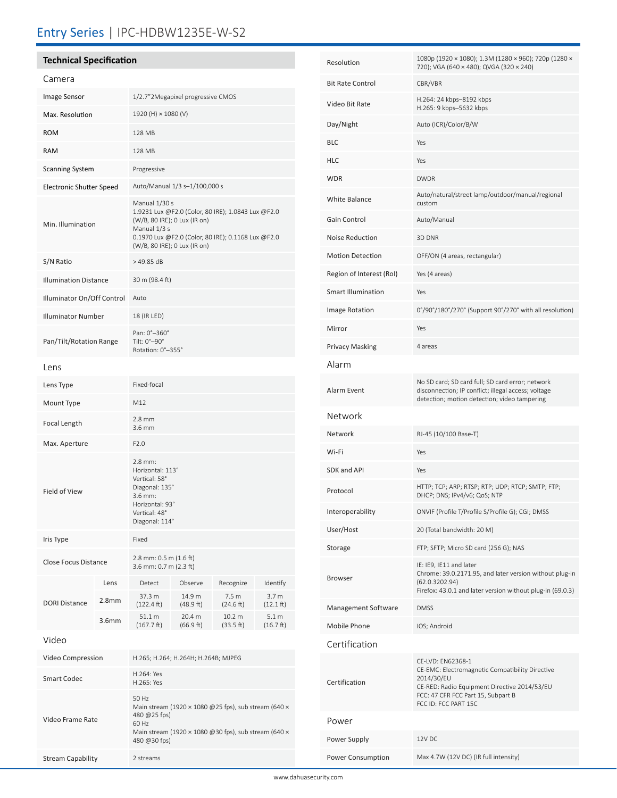### Entry Series | IPC-HDBW1235E-W-S2

### **Technical Specification**

| Camera                          |                   |                                                                                                                                                                                                           |                     |                                |                                         |
|---------------------------------|-------------------|-----------------------------------------------------------------------------------------------------------------------------------------------------------------------------------------------------------|---------------------|--------------------------------|-----------------------------------------|
| Image Sensor                    |                   | 1/2.7"2Megapixel progressive CMOS                                                                                                                                                                         |                     |                                |                                         |
| Max. Resolution                 |                   | 1920 (H) × 1080 (V)                                                                                                                                                                                       |                     |                                |                                         |
| <b>ROM</b>                      |                   | 128 MB                                                                                                                                                                                                    |                     |                                |                                         |
| <b>RAM</b>                      |                   | 128 MB                                                                                                                                                                                                    |                     |                                |                                         |
| <b>Scanning System</b>          |                   | Progressive                                                                                                                                                                                               |                     |                                |                                         |
| <b>Electronic Shutter Speed</b> |                   | Auto/Manual 1/3 s-1/100,000 s                                                                                                                                                                             |                     |                                |                                         |
| Min. Illumination               |                   | Manual 1/30 s<br>1.9231 Lux @F2.0 (Color, 80 IRE); 1.0843 Lux @F2.0<br>(W/B, 80 IRE); 0 Lux (IR on)<br>Manual 1/3 s<br>0.1970 Lux @F2.0 (Color, 80 IRE); 0.1168 Lux @F2.0<br>(W/B, 80 IRE); 0 Lux (IR on) |                     |                                |                                         |
| S/N Ratio                       |                   | $>49.85$ dB                                                                                                                                                                                               |                     |                                |                                         |
| <b>Illumination Distance</b>    |                   | 30 m (98.4 ft)                                                                                                                                                                                            |                     |                                |                                         |
| Illuminator On/Off Control      |                   | Auto                                                                                                                                                                                                      |                     |                                |                                         |
| <b>Illuminator Number</b>       |                   | 18 (IR LED)                                                                                                                                                                                               |                     |                                |                                         |
| Pan/Tilt/Rotation Range         |                   | Pan: 0°-360°<br>Tilt: $0^\circ - 90^\circ$<br>Rotation: 0°-355°                                                                                                                                           |                     |                                |                                         |
| Lens                            |                   |                                                                                                                                                                                                           |                     |                                |                                         |
| Lens Type                       |                   | Fixed-focal                                                                                                                                                                                               |                     |                                |                                         |
| Mount Type                      |                   | M12                                                                                                                                                                                                       |                     |                                |                                         |
| Focal Length                    |                   | $2.8$ mm<br>3.6 mm                                                                                                                                                                                        |                     |                                |                                         |
| Max. Aperture                   |                   | F2.0                                                                                                                                                                                                      |                     |                                |                                         |
| Field of View                   |                   | $2.8$ mm:<br>Horizontal: 113°<br>Vertical: 58°<br>Diagonal: 135°<br>$3.6$ mm:<br>Horizontal: 93°<br>Vertical: 48°<br>Diagonal: 114°                                                                       |                     |                                |                                         |
| Iris Type                       |                   | Fixed                                                                                                                                                                                                     |                     |                                |                                         |
| Close Focus Distance            |                   | 2.8 mm: $0.5$ m $(1.6$ ft)<br>3.6 mm: 0.7 m (2.3 ft)                                                                                                                                                      |                     |                                |                                         |
| <b>DORI Distance</b>            | Lens              | Detect                                                                                                                                                                                                    | Observe             | Recognize                      | Identify                                |
|                                 | 2.8 <sub>mm</sub> | 37.3 m<br>$(122.4 \text{ ft})$                                                                                                                                                                            | 14.9 m<br>(48.9 ft) | 7.5 <sub>m</sub><br>(24.6 ft)  | 3.7 <sub>m</sub><br>$(12.1 \text{ ft})$ |
|                                 | 3.6 <sub>mm</sub> | 51.1 m<br>$(167.7 \text{ ft})$                                                                                                                                                                            | 20.4 m<br>(66.9 ft) | 10.2 <sub>m</sub><br>(33.5 ft) | 5.1 m<br>(16.7 ft)                      |
| Video                           |                   |                                                                                                                                                                                                           |                     |                                |                                         |
| Video Compression               |                   | H.265; H.264; H.264H; H.264B; MJPEG                                                                                                                                                                       |                     |                                |                                         |
| <b>Smart Codec</b>              |                   | H.264: Yes<br>H.265: Yes                                                                                                                                                                                  |                     |                                |                                         |
| Video Frame Rate                |                   | 50 Hz<br>Main stream (1920 × 1080 @25 fps), sub stream (640 ×<br>480 @25 fps)<br>60 Hz<br>Main stream (1920 × 1080 @30 fps), sub stream (640 ×<br>480 @30 fps)                                            |                     |                                |                                         |

Stream Capability 2 streams

| Resolution                | 1080p (1920 × 1080); 1.3M (1280 × 960); 720p (1280 ×<br>720); VGA (640 × 480); QVGA (320 × 240)                                                                                                  |  |  |
|---------------------------|--------------------------------------------------------------------------------------------------------------------------------------------------------------------------------------------------|--|--|
| <b>Bit Rate Control</b>   | CBR/VBR                                                                                                                                                                                          |  |  |
| Video Bit Rate            | H.264: 24 kbps-8192 kbps<br>H.265: 9 kbps-5632 kbps                                                                                                                                              |  |  |
| Day/Night                 | Auto (ICR)/Color/B/W                                                                                                                                                                             |  |  |
| <b>BLC</b>                | Yes                                                                                                                                                                                              |  |  |
| <b>HLC</b>                | Yes                                                                                                                                                                                              |  |  |
| <b>WDR</b>                | <b>DWDR</b>                                                                                                                                                                                      |  |  |
| White Balance             | Auto/natural/street lamp/outdoor/manual/regional<br>custom                                                                                                                                       |  |  |
| Gain Control              | Auto/Manual                                                                                                                                                                                      |  |  |
| Noise Reduction           | 3D DNR                                                                                                                                                                                           |  |  |
| <b>Motion Detection</b>   | OFF/ON (4 areas, rectangular)                                                                                                                                                                    |  |  |
| Region of Interest (RoI)  | Yes (4 areas)                                                                                                                                                                                    |  |  |
| <b>Smart Illumination</b> | Yes                                                                                                                                                                                              |  |  |
| Image Rotation            | 0°/90°/180°/270° (Support 90°/270° with all resolution)                                                                                                                                          |  |  |
| Mirror                    | Yes                                                                                                                                                                                              |  |  |
| <b>Privacy Masking</b>    | 4 areas                                                                                                                                                                                          |  |  |
| Alarm                     |                                                                                                                                                                                                  |  |  |
| Alarm Event               | No SD card; SD card full; SD card error; network<br>disconnection; IP conflict; illegal access; voltage<br>detection; motion detection; video tampering                                          |  |  |
| Network                   |                                                                                                                                                                                                  |  |  |
| Network                   | RJ-45 (10/100 Base-T)                                                                                                                                                                            |  |  |
| Wi-Fi                     | Yes                                                                                                                                                                                              |  |  |
| SDK and API               | Yes                                                                                                                                                                                              |  |  |
| Protocol                  | HTTP; TCP; ARP; RTSP; RTP; UDP; RTCP; SMTP; FTP;<br>DHCP; DNS; IPv4/v6; QoS; NTP                                                                                                                 |  |  |
| Interoperability          | ONVIF (Profile T/Profile S/Profile G); CGI; DMSS                                                                                                                                                 |  |  |
| User/Host                 | 20 (Total bandwidth: 20 M)                                                                                                                                                                       |  |  |
| Storage                   | FTP; SFTP; Micro SD card (256 G); NAS                                                                                                                                                            |  |  |
| Browser                   | IE: IE9, IE11 and later<br>Chrome: 39.0.2171.95, and later version without plug-in<br>(62.0.3202.94)<br>Firefox: 43.0.1 and later version without plug-in (69.0.3)                               |  |  |
| Management Software       | <b>DMSS</b>                                                                                                                                                                                      |  |  |
| Mobile Phone              | IOS; Android                                                                                                                                                                                     |  |  |
| Certification             |                                                                                                                                                                                                  |  |  |
| Certification             | CE-LVD: EN62368-1<br>CE-EMC: Electromagnetic Compatibility Directive<br>2014/30/EU<br>CE-RED: Radio Equipment Directive 2014/53/EU<br>FCC: 47 CFR FCC Part 15, Subpart B<br>FCC ID: FCC PART 15C |  |  |
| Power                     |                                                                                                                                                                                                  |  |  |
| Power Supply              | 12V DC                                                                                                                                                                                           |  |  |
| Power Consumption         | Max 4.7W (12V DC) (IR full intensity)                                                                                                                                                            |  |  |